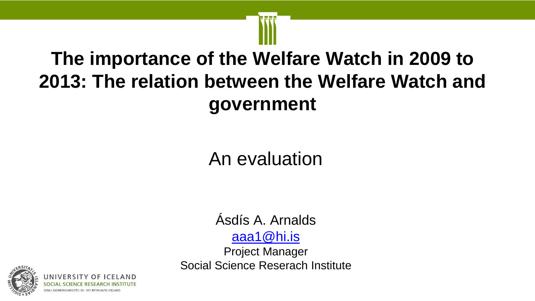## **The importance of the Welfare Watch in 2009 to 2013: The relation between the Welfare Watch and government**

## An evaluation

## Ásdís A. Arnalds [aaa1@hi.is](mailto:valajons@hi.is)

Project Manager Social Science Reserach Institute

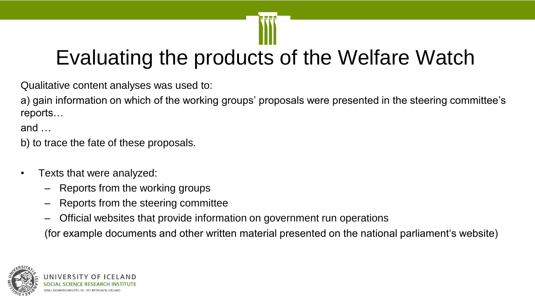## Evaluating the products of the Welfare Watch

Qualitative content analyses was used to:

a) gain information on which of the working groups' proposals were presented in the steering committee's reports…

and …

b) to trace the fate of these proposals.

- Texts that were analyzed:
	- Reports from the working groups
	- Reports from the steering committee
	- Official websites that provide information on government run operations

(for example documents and other written material presented on the national parliament's website)

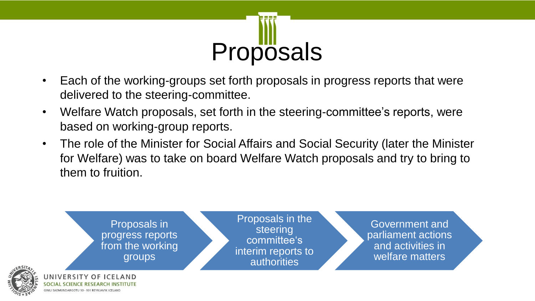

- Each of the working-groups set forth proposals in progress reports that were delivered to the steering-committee.
- Welfare Watch proposals, set forth in the steering-committee's reports, were based on working-group reports.
- The role of the Minister for Social Affairs and Social Security (later the Minister for Welfare) was to take on board Welfare Watch proposals and try to bring to them to fruition.

Proposals in progress reports from the working groups

Proposals in the steering committee's interim reports to authorities

Government and parliament actions and activities in welfare matters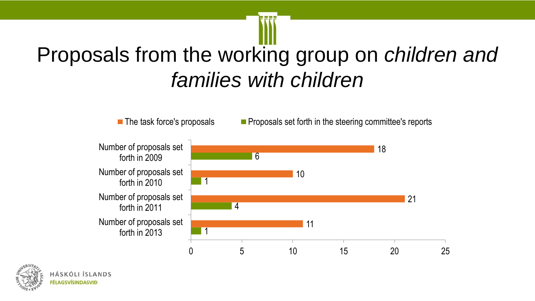## Proposals from the working group on *children and families with children*



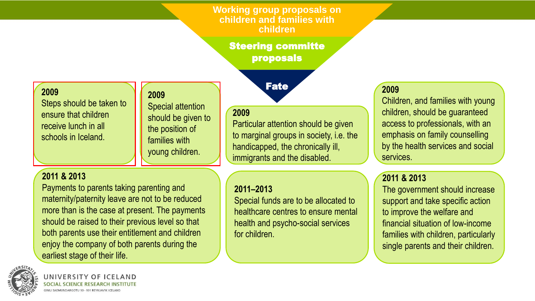**Working group proposals on children and families with children**

Steering committe proposals

Fate

#### **2009**

Steps should be taken to ensure that children receive lunch in all schools in Iceland.

### **2009**

Special attention should be given to the position of families with young children.

#### **2011 & 2013**

Payments to parents taking parenting and maternity/paternity leave are not to be reduced more than is the case at present. The payments should be raised to their previous level so that both parents use their entitlement and children enjoy the company of both parents during the earliest stage of their life.



Particular attention should be given to marginal groups in society, i.e. the handicapped, the chronically ill, immigrants and the disabled.

#### **2011–2013**

Special funds are to be allocated to healthcare centres to ensure mental health and psycho-social services for children.

### **2009**

Children, and families with young children, should be guaranteed access to professionals, with an emphasis on family counselling by the health services and social services.

### **2011 & 2013**

The government should increase support and take specific action to improve the welfare and financial situation of low-income families with children, particularly single parents and their children.



**JNIVERSITY OF IC** IMLI SAEMUNDARGOTU 10 - 101 REYKJAVIK ICELAN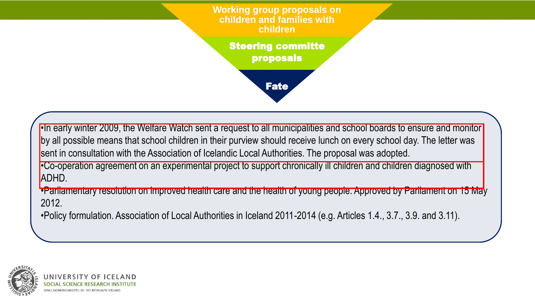**Working group proposals on children and families with children**

Steering committe proposals

Fate

•In early winter 2009, the Welfare Watch sent a request to all municipalities and school boards to ensure and monitor by all possible means that school children in their purview should receive lunch on every school day. The letter was sent in consultation with the Association of Icelandic Local Authorities. The proposal was adopted.

•Co-operation agreement on an experimental project to support chronically ill children and children diagnosed with ADHD.

•Parliamentary resolution on improved health care and the health of young people. Approved by Parliament on 15 May 2012.

•Policy formulation. Association of Local Authorities in Iceland 2011-2014 (e.g. Articles 1.4., 3.7., 3.9. and 3.11).

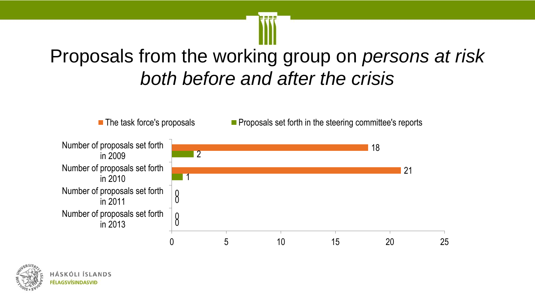## Proposals from the working group on *persons at risk both before and after the crisis*



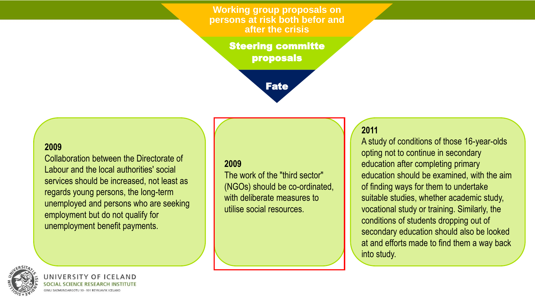**Working group proposals on persons at risk both befor and after the crisis**

> Steering committe proposals



#### **2009**

Collaboration between the Directorate of Labour and the local authorities' social services should be increased, not least as regards young persons, the long-term unemployed and persons who are seeking employment but do not qualify for unemployment benefit payments.

#### **2009**

The work of the "third sector" (NGOs) should be co-ordinated, with deliberate measures to utilise social resources.

#### **2011**

A study of conditions of those 16-year-olds opting not to continue in secondary education after completing primary education should be examined, with the aim of finding ways for them to undertake suitable studies, whether academic study, vocational study or training. Similarly, the conditions of students dropping out of secondary education should also be looked at and efforts made to find them a way back into study.



**NIVERSIT**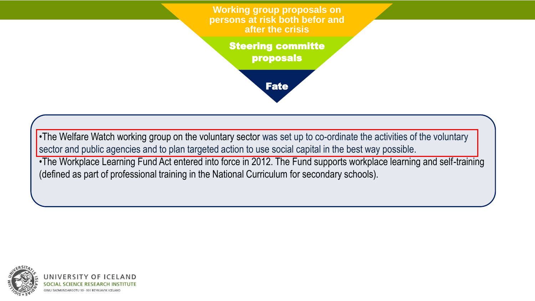**Working group proposals on persons at risk both befor and after the crisis**

> Steering committe proposals

> > Fate

•The Welfare Watch working group on the voluntary sector was set up to co-ordinate the activities of the voluntary sector and public agencies and to plan targeted action to use social capital in the best way possible.

•The Workplace Learning Fund Act entered into force in 2012. The Fund supports workplace learning and self-training (defined as part of professional training in the National Curriculum for secondary schools).

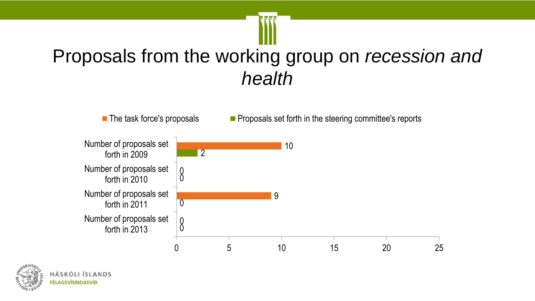## Proposals from the working group on *recession and health*



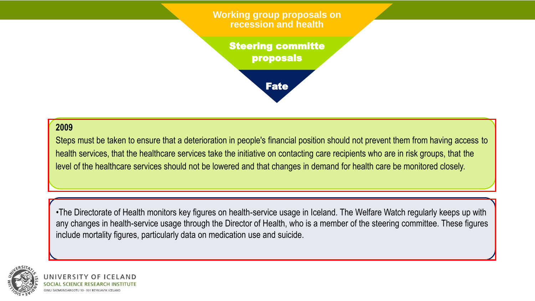**Working group proposals on recession and health**

Steering committe proposals



#### **2009**

Steps must be taken to ensure that a deterioration in people's financial position should not prevent them from having access to health services, that the healthcare services take the initiative on contacting care recipients who are in risk groups, that the level of the healthcare services should not be lowered and that changes in demand for health care be monitored closely.

•The Directorate of Health monitors key figures on health-service usage in Iceland. The Welfare Watch regularly keeps up with any changes in health-service usage through the Director of Health, who is a member of the steering committee. These figures include mortality figures, particularly data on medication use and suicide.

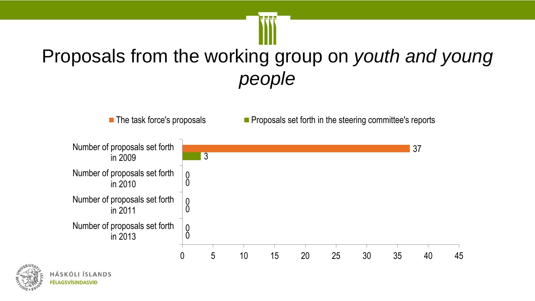## Proposals from the working group on *youth and young people*



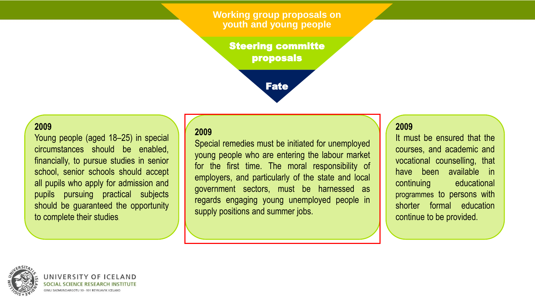**Working group proposals on youth and young people**

> Steering committe proposals



#### **2009**

Young people (aged 18–25) in special circumstances should be enabled, financially, to pursue studies in senior school, senior schools should accept all pupils who apply for admission and pupils pursuing practical subjects should be guaranteed the opportunity to complete their studies.

#### **2009**

Special remedies must be initiated for unemployed young people who are entering the labour market for the first time. The moral responsibility of employers, and particularly of the state and local government sectors, must be harnessed as regards engaging young unemployed people in supply positions and summer jobs.

#### **2009**

It must be ensured that the courses, and academic and vocational counselling, that have been available in continuing educational programmes to persons with shorter formal education continue to be provided.



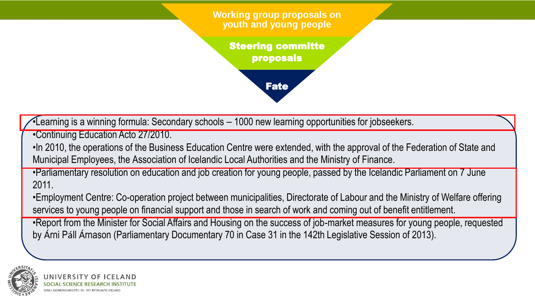**Working group proposals on youth and young people**

Steering committe proposals

Fate



•Continuing Education Acto 27/2010.

•In 2010, the operations of the Business Education Centre were extended, with the approval of the Federation of State and Municipal Employees, the Association of Icelandic Local Authorities and the Ministry of Finance.

•Parliamentary resolution on education and job creation for young people, passed by the Icelandic Parliament on 7 June 2011.

•Employment Centre: Co-operation project between municipalities, Directorate of Labour and the Ministry of Welfare offering services to young people on financial support and those in search of work and coming out of benefit entitlement.

•Report from the Minister for Social Affairs and Housing on the success of job-market measures for young people, requested by Árni Páll Árnason (Parliamentary Documentary 70 in Case 31 in the 142th Legislative Session of 2013).

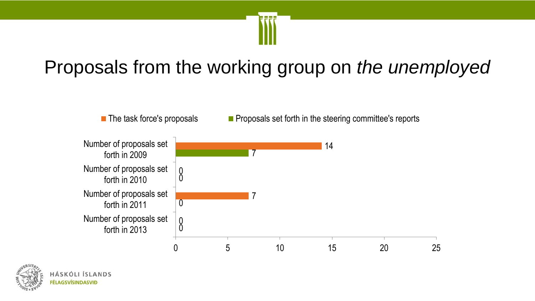

## Proposals from the working group on *the unemployed*



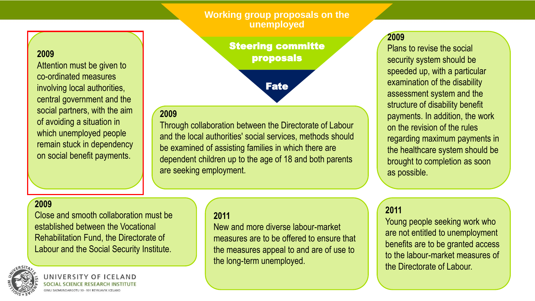#### **Working group proposals on the unemployed**

Steering committe proposals

Fate

#### **2009**

Through collaboration between the Directorate of Labour and the local authorities' social services, methods should be examined of assisting families in which there are dependent children up to the age of 18 and both parents are seeking employment.

#### **2009**

Plans to revise the social security system should be speeded up, with a particular examination of the disability assessment system and the structure of disability benefit payments. In addition, the work on the revision of the rules regarding maximum payments in the healthcare system should be brought to completion as soon as possible.

#### **2009**

**2009**

Attention must be given to

involving local authorities,

central government and the

social partners, with the aim

of avoiding a situation in

which unemployed people

remain stuck in dependency

on social benefit payments.

co-ordinated measures

Close and smooth collaboration must be established between the Vocational Rehabilitation Fund, the Directorate of Labour and the Social Security Institute.



**INIVERSITY** 

#### **2011**

New and more diverse labour-market measures are to be offered to ensure that the measures appeal to and are of use to the long-term unemployed.

#### **2011**

Young people seeking work who are not entitled to unemployment benefits are to be granted access to the labour-market measures of the Directorate of Labour.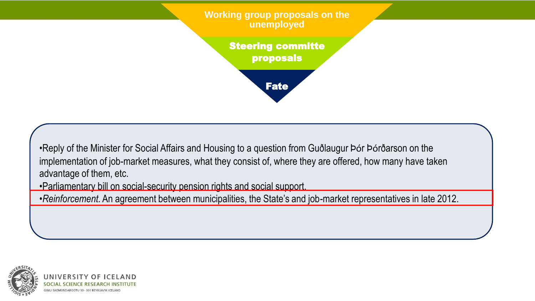**Working group proposals on the unemployed**

> Steering committe proposals

> > Fate

•Reply of the Minister for Social Affairs and Housing to a question from Guðlaugur Þór Þórðarson on the implementation of job-market measures, what they consist of, where they are offered, how many have taken advantage of them, etc.

•Parliamentary bill on social-security pension rights and social support.

•*Reinforcement.* An agreement between municipalities, the State's and job-market representatives in late 2012.

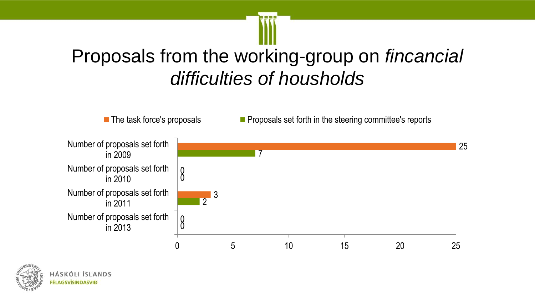## Proposals from the working-group on *fincancial difficulties of housholds*



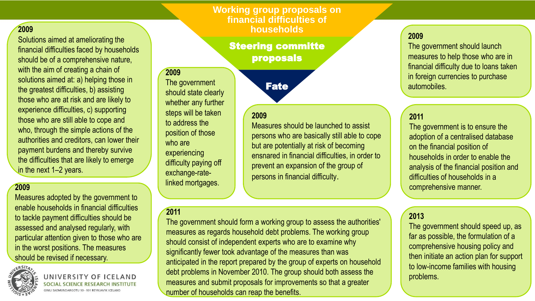#### **Working group proposals on financial difficulties of households**

Fate

Measures should be launched to assist

but are potentially at risk of becoming

prevent an expansion of the group of

persons in financial difficulty.

persons who are basically still able to cope

ensnared in financial difficulties, in order to

#### **2009**

Solutions aimed at ameliorating the financial difficulties faced by households should be of a comprehensive nature, with the aim of creating a chain of solutions aimed at: a) helping those in the greatest difficulties, b) assisting those who are at risk and are likely to experience difficulties, c) supporting those who are still able to cope and who, through the simple actions of the authorities and creditors, can lower their payment burdens and thereby survive the difficulties that are likely to emerge in the next 1–2 years.

#### **2009**

Measures adopted by the government to enable households in financial difficulties to tackle payment difficulties should be assessed and analysed regularly, with particular attention given to those who are in the worst positions. The measures should be revised if necessary.



UNIVERSITY OF ICELAND SOCIAL

## Steering committe proposals

**2009**

The government should state clearly whether any further steps will be taken to address the position of those who are experiencing difficulty paying off exchange-ratelinked mortgages.

#### **2011**

**2009**

The government should form a working group to assess the authorities' measures as regards household debt problems. The working group should consist of independent experts who are to examine why significantly fewer took advantage of the measures than was anticipated in the report prepared by the group of experts on household debt problems in November 2010. The group should both assess the measures and submit proposals for improvements so that a greater number of households can reap the benefits.

#### **2009**

The government should launch measures to help those who are in financial difficulty due to loans taken in foreign currencies to purchase automobiles.

#### **2011**

The government is to ensure the adoption of a centralised database on the financial position of households in order to enable the analysis of the financial position and difficulties of households in a comprehensive manner.

#### **2013**

The government should speed up, as far as possible, the formulation of a comprehensive housing policy and then initiate an action plan for support to low-income families with housing problems.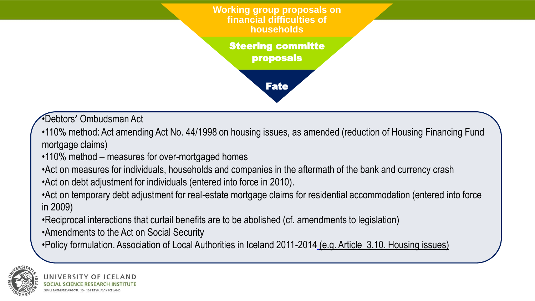**Working group proposals on financial difficulties of households**

> Steering committe proposals

> > Fate

•Debtors' Ombudsman Act

- •110% method: Act amending Act No. 44/1998 on housing issues, as amended (reduction of Housing Financing Fund mortgage claims)
- •110% method measures for over-mortgaged homes
- •Act on measures for individuals, households and companies in the aftermath of the bank and currency crash
- •Act on debt adjustment for individuals (entered into force in 2010).
- •Act on temporary debt adjustment for real-estate mortgage claims for residential accommodation (entered into force in 2009)
- •Reciprocal interactions that curtail benefits are to be abolished (cf. amendments to legislation)
- •Amendments to the Act on Social Security
- •Policy formulation. Association of Local Authorities in Iceland 2011-2014 (e.g. Article 3.10. Housing issues)

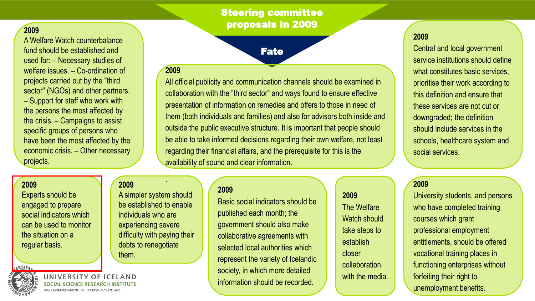### Steering committee proposals in 2009

Fate

#### **2009**

A Welfare Watch counterbalance fund should be established and used for: – Necessary studies of welfare issues. – Co-ordination of projects carried out by the "third sector" (NGOs) and other partners. – Support for staff who work with the persons the most affected by the crisis. – Campaigns to assist specific groups of persons who have been the most affected by the economic crisis. – Other necessary projects.

#### **2009**

ERSITA

Experts should be engaged to prepare social indicators which can be used to monitor the situation on a regular basis.

### **2009**

A simpler system should be established to enable individuals who are experiencing severe difficulty with paying their debts to renegotiate them.

.

UNIVERSI

#### **2009**

All official publicity and communication channels should be examined in collaboration with the "third sector" and ways found to ensure effective presentation of information on remedies and offers to those in need of them (both individuals and families) and also for advisors both inside and outside the public executive structure. It is important that people should be able to take informed decisions regarding their own welfare, not least regarding their financial affairs, and the prerequisite for this is the availability of sound and clear information.

#### **2009**

Basic social indicators should be published each month; the government should also make collaborative agreements with selected local authorities which represent the variety of Icelandic society, in which more detailed information should be recorded.

#### **2009**

Central and local government service institutions should define what constitutes basic services, prioritise their work according to this definition and ensure that these services are not cut or downgraded; the definition should include services in the schools, healthcare system and social services.

#### **2009**

**2009**

The Welfare

Watch should

take steps to

collaboration

with the media.

establish

closer

University students, and persons who have completed training courses which grant professional employment entitlements, should be offered vocational training places in functioning enterprises without forfeiting their right to unemployment benefits.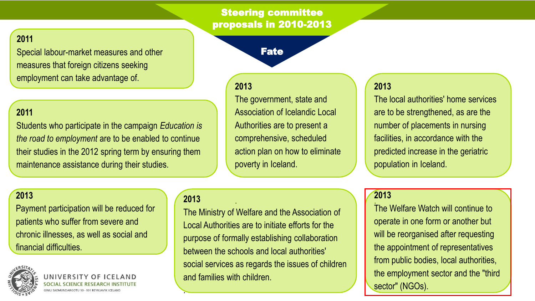### Steering committee proposals in 2010-2013

### **2011**

Special labour-market measures and other measures that foreign citizens seeking employment can take advantage of.

#### **2011**

Students who participate in the campaign *Education is the road to employment* are to be enabled to continue their studies in the 2012 spring term by ensuring them maintenance assistance during their studies.

## Fate

#### **2013**

The government, state and Association of Icelandic Local Authorities are to present a comprehensive, scheduled action plan on how to eliminate poverty in Iceland.

### **2013**

The local authorities' home services are to be strengthened, as are the number of placements in nursing facilities, in accordance with the predicted increase in the geriatric population in Iceland.

#### **2013**

Payment participation will be reduced for patients who suffer from severe and chronic illnesses, as well as social and financial difficulties.



**JNIVERSIT** 

### **2013** .

.

The Ministry of Welfare and the Association of Local Authorities are to initiate efforts for the purpose of formally establishing collaboration between the schools and local authorities' social services as regards the issues of children and families with children.

#### $\mathbf{L}$ **2013**

The Welfare Watch will continue to operate in one form or another but will be reorganised after requesting the appointment of representatives from public bodies, local authorities, the employment sector and the "third sector" (NGOs).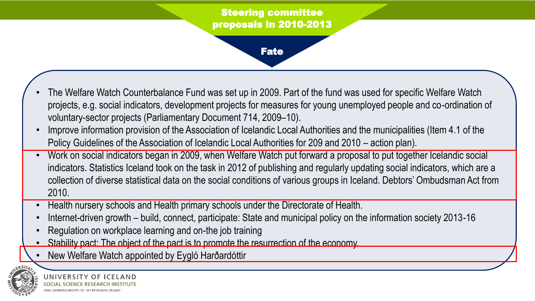### Steering committee proposals in 2010-2013

Fate

### The Welfare Watch Counterbalance Fund was set up in 2009. Part of the fund was used for specific Welfare Watch projects, e.g. social indicators, development projects for measures for young unemployed people and co-ordination of voluntary-sector projects (Parliamentary Document 714, 2009–10).

- Improve information provision of the Association of Icelandic Local Authorities and the municipalities (Item 4.1 of the Policy Guidelines of the Association of Icelandic Local Authorities for 209 and 2010 – action plan).
- Work on social indicators began in 2009, when Welfare Watch put forward a proposal to put together Icelandic social indicators. Statistics Iceland took on the task in 2012 of publishing and regularly updating social indicators, which are a collection of diverse statistical data on the social conditions of various groups in Iceland. Debtors' Ombudsman Act from 2010.
- Health nursery schools and Health primary schools under the Directorate of Health.
- Internet-driven growth build, connect, participate: State and municipal policy on the information society 2013-16
- Regulation on workplace learning and on-the job training
- Stability pact: The object of the pact is to promote the resurrection of the economy.
- New Welfare Watch appointed by Eygló Harðardóttir

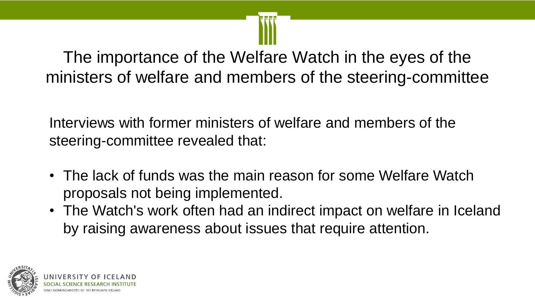The importance of the Welfare Watch in the eyes of the ministers of welfare and members of the steering-committee

Interviews with former ministers of welfare and members of the steering-committee revealed that:

- The lack of funds was the main reason for some Welfare Watch proposals not being implemented.
- The Watch's work often had an indirect impact on welfare in Iceland by raising awareness about issues that require attention.

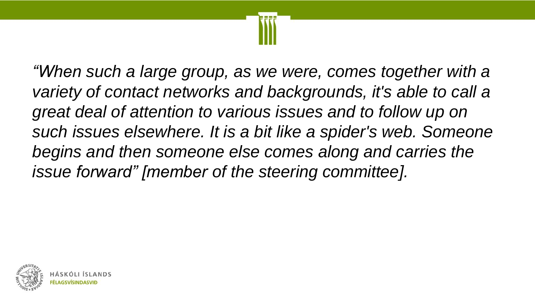

*"When such a large group, as we were, comes together with a variety of contact networks and backgrounds, it's able to call a great deal of attention to various issues and to follow up on such issues elsewhere. It is a bit like a spider's web. Someone begins and then someone else comes along and carries the issue forward" [member of the steering committee].*